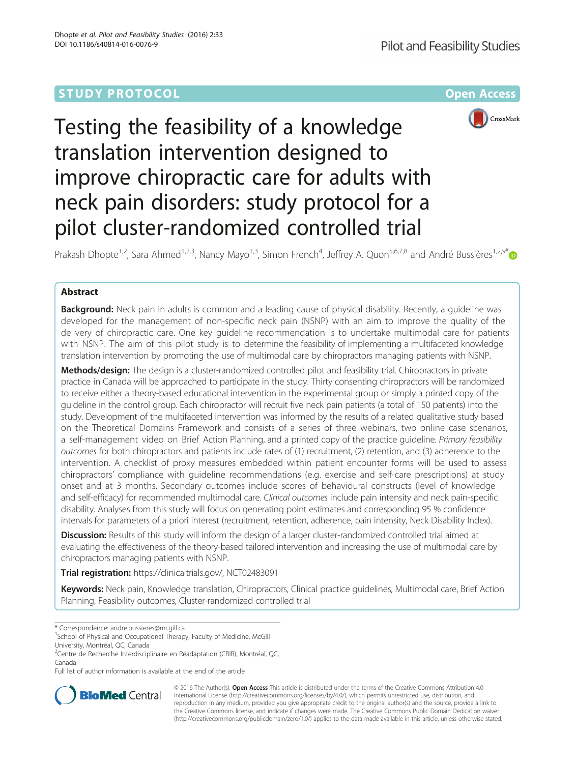# **STUDY PROTOCOL CONSUMING THE RESERVE ACCESS**



# Testing the feasibility of a knowledge translation intervention designed to improve chiropractic care for adults with neck pain disorders: study protocol for a pilot cluster-randomized controlled trial

Prakash Dhopte<sup>1,2</sup>, Sara Ahmed<sup>1,2,3</sup>, Nancy Mayo<sup>1,3</sup>, Simon French<sup>4</sup>, Jeffrey A. Quon<sup>5,6,7,8</sup> and André Bussières<sup>1,2,9[\\*](http://orcid.org/0000-0002-2818-6949)</sup>

## Abstract

Background: Neck pain in adults is common and a leading cause of physical disability. Recently, a quideline was developed for the management of non-specific neck pain (NSNP) with an aim to improve the quality of the delivery of chiropractic care. One key guideline recommendation is to undertake multimodal care for patients with NSNP. The aim of this pilot study is to determine the feasibility of implementing a multifaceted knowledge translation intervention by promoting the use of multimodal care by chiropractors managing patients with NSNP.

Methods/design: The design is a cluster-randomized controlled pilot and feasibility trial. Chiropractors in private practice in Canada will be approached to participate in the study. Thirty consenting chiropractors will be randomized to receive either a theory-based educational intervention in the experimental group or simply a printed copy of the guideline in the control group. Each chiropractor will recruit five neck pain patients (a total of 150 patients) into the study. Development of the multifaceted intervention was informed by the results of a related qualitative study based on the Theoretical Domains Framework and consists of a series of three webinars, two online case scenarios, a self-management video on Brief Action Planning, and a printed copy of the practice guideline. Primary feasibility outcomes for both chiropractors and patients include rates of (1) recruitment, (2) retention, and (3) adherence to the intervention. A checklist of proxy measures embedded within patient encounter forms will be used to assess chiropractors' compliance with guideline recommendations (e.g. exercise and self-care prescriptions) at study onset and at 3 months. Secondary outcomes include scores of behavioural constructs (level of knowledge and self-efficacy) for recommended multimodal care. Clinical outcomes include pain intensity and neck pain-specific disability. Analyses from this study will focus on generating point estimates and corresponding 95 % confidence intervals for parameters of a priori interest (recruitment, retention, adherence, pain intensity, Neck Disability Index).

Discussion: Results of this study will inform the design of a larger cluster-randomized controlled trial aimed at evaluating the effectiveness of the theory-based tailored intervention and increasing the use of multimodal care by chiropractors managing patients with NSNP.

Trial registration: [https://clinicaltrials.gov/](https://clinicaltrials.gov/ct2/show/NCT02483091?term=Bussi%C3%A8res&rank=12), NCT02483091

Keywords: Neck pain, Knowledge translation, Chiropractors, Clinical practice guidelines, Multimodal care, Brief Action Planning, Feasibility outcomes, Cluster-randomized controlled trial

\* Correspondence: [andre.bussieres@mcgill.ca](mailto:andre.bussieres@mcgill.ca) <sup>1</sup>

<sup>2</sup>Centre de Recherche Interdisciplinaire en Réadaptation (CRIR), Montréal, QC, Canada

Full list of author information is available at the end of the article



© 2016 The Author(s). Open Access This article is distributed under the terms of the Creative Commons Attribution 4.0 International License [\(http://creativecommons.org/licenses/by/4.0/](http://creativecommons.org/licenses/by/4.0/)), which permits unrestricted use, distribution, and reproduction in any medium, provided you give appropriate credit to the original author(s) and the source, provide a link to the Creative Commons license, and indicate if changes were made. The Creative Commons Public Domain Dedication waiver [\(http://creativecommons.org/publicdomain/zero/1.0/](http://creativecommons.org/publicdomain/zero/1.0/)) applies to the data made available in this article, unless otherwise stated.

<sup>&</sup>lt;sup>1</sup>School of Physical and Occupational Therapy, Faculty of Medicine, McGill University, Montréal, QC, Canada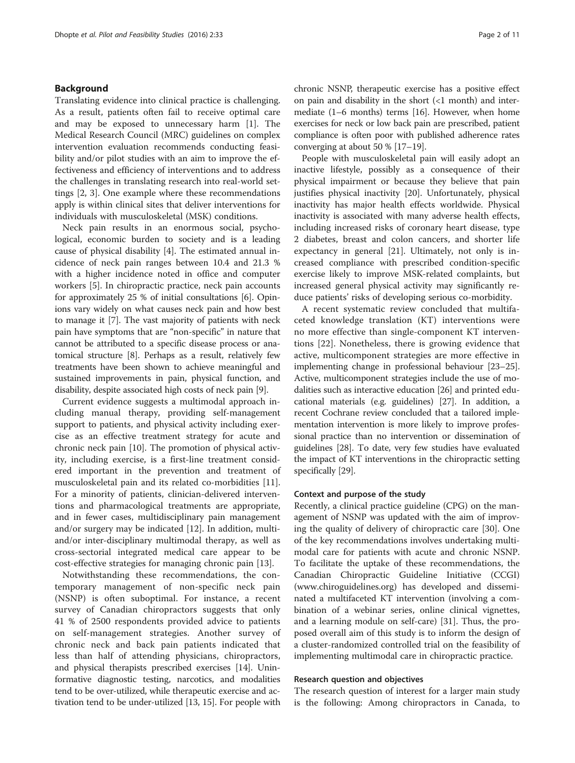#### Background

Translating evidence into clinical practice is challenging. As a result, patients often fail to receive optimal care and may be exposed to unnecessary harm [[1\]](#page-9-0). The Medical Research Council (MRC) guidelines on complex intervention evaluation recommends conducting feasibility and/or pilot studies with an aim to improve the effectiveness and efficiency of interventions and to address the challenges in translating research into real-world settings [[2, 3](#page-9-0)]. One example where these recommendations apply is within clinical sites that deliver interventions for individuals with musculoskeletal (MSK) conditions.

Neck pain results in an enormous social, psychological, economic burden to society and is a leading cause of physical disability [\[4](#page-9-0)]. The estimated annual incidence of neck pain ranges between 10.4 and 21.3 % with a higher incidence noted in office and computer workers [[5\]](#page-9-0). In chiropractic practice, neck pain accounts for approximately 25 % of initial consultations [\[6\]](#page-9-0). Opinions vary widely on what causes neck pain and how best to manage it [\[7](#page-9-0)]. The vast majority of patients with neck pain have symptoms that are "non-specific" in nature that cannot be attributed to a specific disease process or anatomical structure [[8\]](#page-9-0). Perhaps as a result, relatively few treatments have been shown to achieve meaningful and sustained improvements in pain, physical function, and disability, despite associated high costs of neck pain [\[9](#page-9-0)].

Current evidence suggests a multimodal approach including manual therapy, providing self-management support to patients, and physical activity including exercise as an effective treatment strategy for acute and chronic neck pain [[10\]](#page-9-0). The promotion of physical activity, including exercise, is a first-line treatment considered important in the prevention and treatment of musculoskeletal pain and its related co-morbidities [\[11](#page-9-0)]. For a minority of patients, clinician-delivered interventions and pharmacological treatments are appropriate, and in fewer cases, multidisciplinary pain management and/or surgery may be indicated [\[12](#page-9-0)]. In addition, multiand/or inter-disciplinary multimodal therapy, as well as cross-sectorial integrated medical care appear to be cost-effective strategies for managing chronic pain [[13\]](#page-10-0).

Notwithstanding these recommendations, the contemporary management of non-specific neck pain (NSNP) is often suboptimal. For instance, a recent survey of Canadian chiropractors suggests that only 41 % of 2500 respondents provided advice to patients on self-management strategies. Another survey of chronic neck and back pain patients indicated that less than half of attending physicians, chiropractors, and physical therapists prescribed exercises [\[14\]](#page-10-0). Uninformative diagnostic testing, narcotics, and modalities tend to be over-utilized, while therapeutic exercise and activation tend to be under-utilized [\[13, 15](#page-10-0)]. For people with chronic NSNP, therapeutic exercise has a positive effect on pain and disability in the short (<1 month) and intermediate (1–6 months) terms [\[16\]](#page-10-0). However, when home exercises for neck or low back pain are prescribed, patient compliance is often poor with published adherence rates converging at about 50 % [\[17](#page-10-0)–[19\]](#page-10-0).

People with musculoskeletal pain will easily adopt an inactive lifestyle, possibly as a consequence of their physical impairment or because they believe that pain justifies physical inactivity [\[20](#page-10-0)]. Unfortunately, physical inactivity has major health effects worldwide. Physical inactivity is associated with many adverse health effects, including increased risks of coronary heart disease, type 2 diabetes, breast and colon cancers, and shorter life expectancy in general [\[21\]](#page-10-0). Ultimately, not only is increased compliance with prescribed condition-specific exercise likely to improve MSK-related complaints, but increased general physical activity may significantly reduce patients' risks of developing serious co-morbidity.

A recent systematic review concluded that multifaceted knowledge translation (KT) interventions were no more effective than single-component KT interventions [\[22](#page-10-0)]. Nonetheless, there is growing evidence that active, multicomponent strategies are more effective in implementing change in professional behaviour [\[23](#page-10-0)–[25](#page-10-0)]. Active, multicomponent strategies include the use of modalities such as interactive education [\[26\]](#page-10-0) and printed educational materials (e.g. guidelines) [\[27\]](#page-10-0). In addition, a recent Cochrane review concluded that a tailored implementation intervention is more likely to improve professional practice than no intervention or dissemination of guidelines [[28](#page-10-0)]. To date, very few studies have evaluated the impact of KT interventions in the chiropractic setting specifically [[29](#page-10-0)].

#### Context and purpose of the study

Recently, a clinical practice guideline (CPG) on the management of NSNP was updated with the aim of improving the quality of delivery of chiropractic care [\[30](#page-10-0)]. One of the key recommendations involves undertaking multimodal care for patients with acute and chronic NSNP. To facilitate the uptake of these recommendations, the Canadian Chiropractic Guideline Initiative (CCGI) ([www.chiroguidelines.org](http://www.chiroguidelines.org/)) has developed and disseminated a multifaceted KT intervention (involving a combination of a webinar series, online clinical vignettes, and a learning module on self-care) [\[31](#page-10-0)]. Thus, the proposed overall aim of this study is to inform the design of a cluster-randomized controlled trial on the feasibility of implementing multimodal care in chiropractic practice.

#### Research question and objectives

The research question of interest for a larger main study is the following: Among chiropractors in Canada, to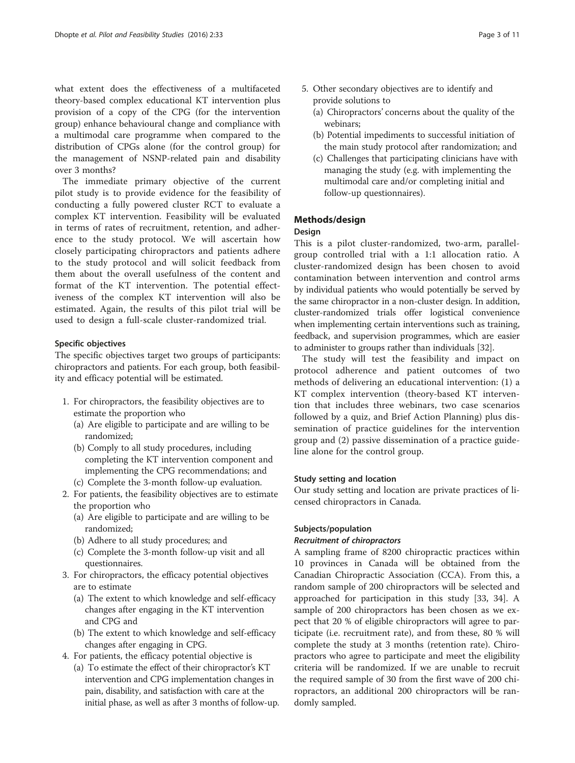what extent does the effectiveness of a multifaceted theory-based complex educational KT intervention plus provision of a copy of the CPG (for the intervention group) enhance behavioural change and compliance with a multimodal care programme when compared to the distribution of CPGs alone (for the control group) for the management of NSNP-related pain and disability over 3 months?

The immediate primary objective of the current pilot study is to provide evidence for the feasibility of conducting a fully powered cluster RCT to evaluate a complex KT intervention. Feasibility will be evaluated in terms of rates of recruitment, retention, and adherence to the study protocol. We will ascertain how closely participating chiropractors and patients adhere to the study protocol and will solicit feedback from them about the overall usefulness of the content and format of the KT intervention. The potential effectiveness of the complex KT intervention will also be estimated. Again, the results of this pilot trial will be used to design a full-scale cluster-randomized trial.

#### Specific objectives

The specific objectives target two groups of participants: chiropractors and patients. For each group, both feasibility and efficacy potential will be estimated.

- 1. For chiropractors, the feasibility objectives are to estimate the proportion who
	- (a) Are eligible to participate and are willing to be randomized;
	- (b) Comply to all study procedures, including completing the KT intervention component and implementing the CPG recommendations; and
	- (c) Complete the 3-month follow-up evaluation.
- 2. For patients, the feasibility objectives are to estimate the proportion who
	- (a) Are eligible to participate and are willing to be randomized;
	- (b) Adhere to all study procedures; and
	- (c) Complete the 3-month follow-up visit and all questionnaires.
- 3. For chiropractors, the efficacy potential objectives are to estimate
	- (a) The extent to which knowledge and self-efficacy changes after engaging in the KT intervention and CPG and
	- (b) The extent to which knowledge and self-efficacy changes after engaging in CPG.
- 4. For patients, the efficacy potential objective is
	- (a) To estimate the effect of their chiropractor's KT intervention and CPG implementation changes in pain, disability, and satisfaction with care at the initial phase, as well as after 3 months of follow-up.
- 5. Other secondary objectives are to identify and provide solutions to
	- (a) Chiropractors' concerns about the quality of the webinars;
	- (b) Potential impediments to successful initiation of the main study protocol after randomization; and
	- (c) Challenges that participating clinicians have with managing the study (e.g. with implementing the multimodal care and/or completing initial and follow-up questionnaires).

#### Methods/design

#### Design

This is a pilot cluster-randomized, two-arm, parallelgroup controlled trial with a 1:1 allocation ratio. A cluster-randomized design has been chosen to avoid contamination between intervention and control arms by individual patients who would potentially be served by the same chiropractor in a non-cluster design. In addition, cluster-randomized trials offer logistical convenience when implementing certain interventions such as training, feedback, and supervision programmes, which are easier to administer to groups rather than individuals [\[32\]](#page-10-0).

The study will test the feasibility and impact on protocol adherence and patient outcomes of two methods of delivering an educational intervention: (1) a KT complex intervention (theory-based KT intervention that includes three webinars, two case scenarios followed by a quiz, and Brief Action Planning) plus dissemination of practice guidelines for the intervention group and (2) passive dissemination of a practice guideline alone for the control group.

#### Study setting and location

Our study setting and location are private practices of licensed chiropractors in Canada.

#### Subjects/population

#### Recruitment of chiropractors

A sampling frame of 8200 chiropractic practices within 10 provinces in Canada will be obtained from the Canadian Chiropractic Association (CCA). From this, a random sample of 200 chiropractors will be selected and approached for participation in this study [\[33](#page-10-0), [34](#page-10-0)]. A sample of 200 chiropractors has been chosen as we expect that 20 % of eligible chiropractors will agree to participate (i.e. recruitment rate), and from these, 80 % will complete the study at 3 months (retention rate). Chiropractors who agree to participate and meet the eligibility criteria will be randomized. If we are unable to recruit the required sample of 30 from the first wave of 200 chiropractors, an additional 200 chiropractors will be randomly sampled.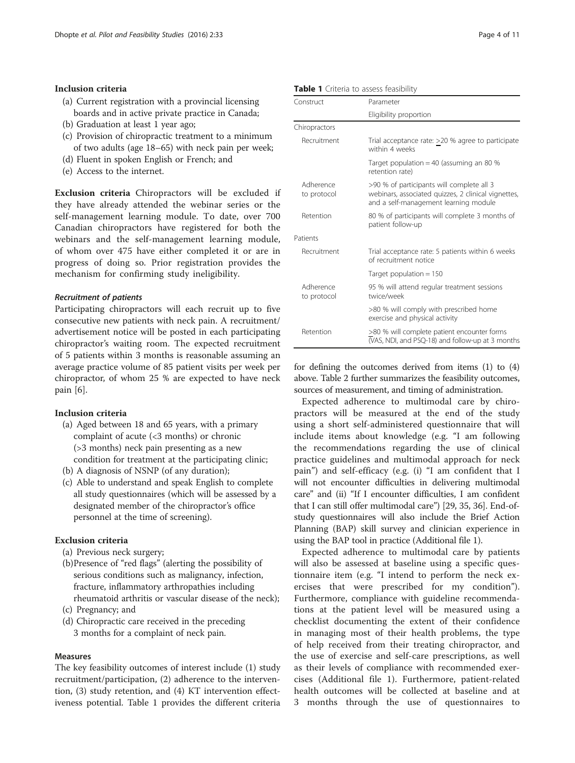#### Inclusion criteria

- (a) Current registration with a provincial licensing boards and in active private practice in Canada;
- (b) Graduation at least 1 year ago;
- (c) Provision of chiropractic treatment to a minimum of two adults (age 18–65) with neck pain per week;
- (d) Fluent in spoken English or French; and
- (e) Access to the internet.

Exclusion criteria Chiropractors will be excluded if they have already attended the webinar series or the self-management learning module. To date, over 700 Canadian chiropractors have registered for both the webinars and the self-management learning module, of whom over 475 have either completed it or are in progress of doing so. Prior registration provides the mechanism for confirming study ineligibility.

#### Recruitment of patients

Participating chiropractors will each recruit up to five consecutive new patients with neck pain. A recruitment/ advertisement notice will be posted in each participating chiropractor's waiting room. The expected recruitment of 5 patients within 3 months is reasonable assuming an average practice volume of 85 patient visits per week per chiropractor, of whom 25 % are expected to have neck pain [\[6](#page-9-0)].

#### Inclusion criteria

- (a) Aged between 18 and 65 years, with a primary complaint of acute (<3 months) or chronic (>3 months) neck pain presenting as a new condition for treatment at the participating clinic;
- (b) A diagnosis of NSNP (of any duration);
- (c) Able to understand and speak English to complete all study questionnaires (which will be assessed by a designated member of the chiropractor's office personnel at the time of screening).

#### Exclusion criteria

- (a) Previous neck surgery;
- (b)Presence of "red flags" (alerting the possibility of serious conditions such as malignancy, infection, fracture, inflammatory arthropathies including rheumatoid arthritis or vascular disease of the neck);
- (c) Pregnancy; and
- (d) Chiropractic care received in the preceding 3 months for a complaint of neck pain.

#### Measures

The key feasibility outcomes of interest include (1) study recruitment/participation, (2) adherence to the intervention, (3) study retention, and (4) KT intervention effectiveness potential. Table 1 provides the different criteria

Table 1 Criteria to assess feasibility

| Construct                | Parameter                                                                                                                                 |  |
|--------------------------|-------------------------------------------------------------------------------------------------------------------------------------------|--|
|                          | Eligibility proportion                                                                                                                    |  |
| Chiropractors            |                                                                                                                                           |  |
| Recruitment              | Trial acceptance rate: >20 % agree to participate<br>within 4 weeks                                                                       |  |
|                          | Target population = 40 (assuming an 80 $%$<br>retention rate)                                                                             |  |
| Adherence<br>to protocol | >90 % of participants will complete all 3<br>webinars, associated quizzes, 2 clinical vignettes,<br>and a self-management learning module |  |
| Retention                | 80 % of participants will complete 3 months of<br>patient follow-up                                                                       |  |
| Patients                 |                                                                                                                                           |  |
| Recruitment              | Trial acceptance rate: 5 patients within 6 weeks<br>of recruitment notice                                                                 |  |
|                          | Target population $= 150$                                                                                                                 |  |
| Adherence<br>to protocol | 95 % will attend regular treatment sessions<br>twice/week                                                                                 |  |
|                          | >80 % will comply with prescribed home<br>exercise and physical activity                                                                  |  |
| Retention                | >80 % will complete patient encounter forms<br>$\sqrt{\text{V}}$ AS, NDI, and PSQ-18) and follow-up at 3 months                           |  |

for defining the outcomes derived from items (1) to (4) above. Table [2](#page-4-0) further summarizes the feasibility outcomes, sources of measurement, and timing of administration.

Expected adherence to multimodal care by chiropractors will be measured at the end of the study using a short self-administered questionnaire that will include items about knowledge (e.g. "I am following the recommendations regarding the use of clinical practice guidelines and multimodal approach for neck pain") and self-efficacy (e.g. (i) "I am confident that I will not encounter difficulties in delivering multimodal care" and (ii) "If I encounter difficulties, I am confident that I can still offer multimodal care") [[29](#page-10-0), [35, 36\]](#page-10-0). End-ofstudy questionnaires will also include the Brief Action Planning (BAP) skill survey and clinician experience in using the BAP tool in practice (Additional file [1](#page-9-0)).

Expected adherence to multimodal care by patients will also be assessed at baseline using a specific questionnaire item (e.g. "I intend to perform the neck exercises that were prescribed for my condition"). Furthermore, compliance with guideline recommendations at the patient level will be measured using a checklist documenting the extent of their confidence in managing most of their health problems, the type of help received from their treating chiropractor, and the use of exercise and self-care prescriptions, as well as their levels of compliance with recommended exercises (Additional file [1\)](#page-9-0). Furthermore, patient-related health outcomes will be collected at baseline and at 3 months through the use of questionnaires to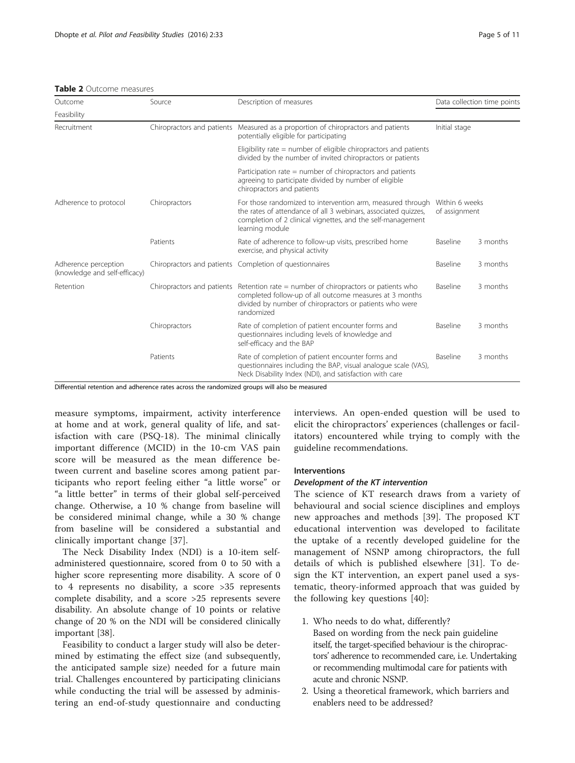#### <span id="page-4-0"></span>Table 2 Outcome measures

| Outcome                                               | Source                     | Description of measures                                                                                                                                                                                                               |                                 | Data collection time points |
|-------------------------------------------------------|----------------------------|---------------------------------------------------------------------------------------------------------------------------------------------------------------------------------------------------------------------------------------|---------------------------------|-----------------------------|
| Feasibility                                           |                            |                                                                                                                                                                                                                                       |                                 |                             |
| Recruitment                                           | Chiropractors and patients | Measured as a proportion of chiropractors and patients<br>potentially eligible for participating                                                                                                                                      | Initial stage                   |                             |
|                                                       |                            | Eligibility rate $=$ number of eligible chiropractors and patients<br>divided by the number of invited chiropractors or patients                                                                                                      |                                 |                             |
|                                                       |                            | Participation rate $=$ number of chiropractors and patients<br>agreeing to participate divided by number of eligible<br>chiropractors and patients                                                                                    |                                 |                             |
| Adherence to protocol                                 | Chiropractors              | For those randomized to intervention arm, measured through<br>the rates of attendance of all 3 webinars, associated quizzes,<br>completion of 2 clinical vignettes, and the self-management<br>learning module                        | Within 6 weeks<br>of assignment |                             |
|                                                       | Patients                   | Rate of adherence to follow-up visits, prescribed home<br>exercise, and physical activity                                                                                                                                             | Baseline                        | 3 months                    |
| Adherence perception<br>(knowledge and self-efficacy) |                            | Chiropractors and patients Completion of questionnaires                                                                                                                                                                               | Baseline                        | 3 months                    |
| Retention                                             |                            | Chiropractors and patients Retention rate $=$ number of chiropractors or patients who<br>Baseline<br>completed follow-up of all outcome measures at 3 months<br>divided by number of chiropractors or patients who were<br>randomized |                                 | 3 months                    |
|                                                       | Chiropractors              | Rate of completion of patient encounter forms and<br>questionnaires including levels of knowledge and<br>self-efficacy and the BAP                                                                                                    | Baseline                        | 3 months                    |
|                                                       | Patients                   | Rate of completion of patient encounter forms and<br>questionnaires including the BAP, visual analogue scale (VAS),<br>Neck Disability Index (NDI), and satisfaction with care                                                        | Baseline                        | 3 months                    |

Differential retention and adherence rates across the randomized groups will also be measured

measure symptoms, impairment, activity interference at home and at work, general quality of life, and satisfaction with care (PSQ-18). The minimal clinically important difference (MCID) in the 10-cm VAS pain score will be measured as the mean difference between current and baseline scores among patient participants who report feeling either "a little worse" or "a little better" in terms of their global self-perceived change. Otherwise, a 10 % change from baseline will be considered minimal change, while a 30 % change from baseline will be considered a substantial and clinically important change [\[37](#page-10-0)].

The Neck Disability Index (NDI) is a 10-item selfadministered questionnaire, scored from 0 to 50 with a higher score representing more disability. A score of 0 to 4 represents no disability, a score >35 represents complete disability, and a score >25 represents severe disability. An absolute change of 10 points or relative change of 20 % on the NDI will be considered clinically important [[38](#page-10-0)].

Feasibility to conduct a larger study will also be determined by estimating the effect size (and subsequently, the anticipated sample size) needed for a future main trial. Challenges encountered by participating clinicians while conducting the trial will be assessed by administering an end-of-study questionnaire and conducting

interviews. An open-ended question will be used to elicit the chiropractors' experiences (challenges or facilitators) encountered while trying to comply with the guideline recommendations.

#### **Interventions**

#### Development of the KT intervention

The science of KT research draws from a variety of behavioural and social science disciplines and employs new approaches and methods [\[39](#page-10-0)]. The proposed KT educational intervention was developed to facilitate the uptake of a recently developed guideline for the management of NSNP among chiropractors, the full details of which is published elsewhere [\[31](#page-10-0)]. To design the KT intervention, an expert panel used a systematic, theory-informed approach that was guided by the following key questions [[40\]](#page-10-0):

- 1. Who needs to do what, differently? Based on wording from the neck pain guideline itself, the target-specified behaviour is the chiropractors' adherence to recommended care, i.e. Undertaking or recommending multimodal care for patients with acute and chronic NSNP.
- 2. Using a theoretical framework, which barriers and enablers need to be addressed?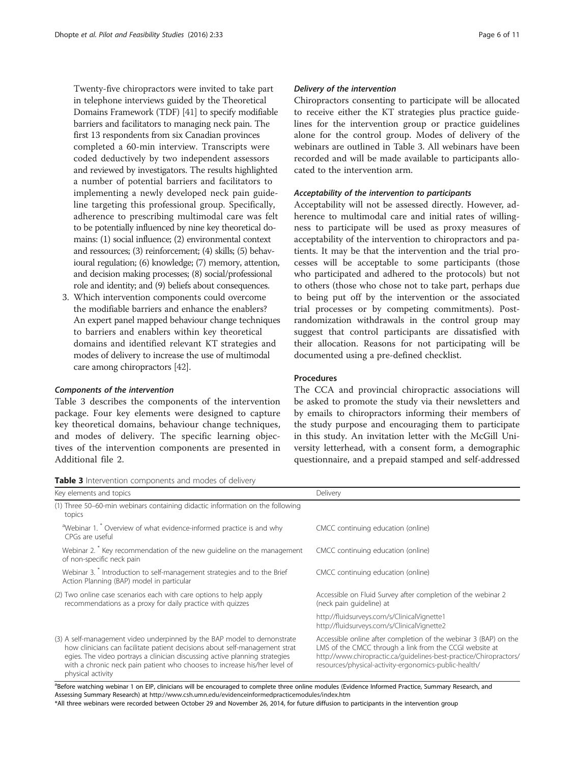Twenty-five chiropractors were invited to take part in telephone interviews guided by the Theoretical Domains Framework (TDF) [[41](#page-10-0)] to specify modifiable barriers and facilitators to managing neck pain. The first 13 respondents from six Canadian provinces completed a 60-min interview. Transcripts were coded deductively by two independent assessors and reviewed by investigators. The results highlighted a number of potential barriers and facilitators to implementing a newly developed neck pain guideline targeting this professional group. Specifically, adherence to prescribing multimodal care was felt to be potentially influenced by nine key theoretical domains: (1) social influence; (2) environmental context and ressources; (3) reinforcement; (4) skills; (5) behavioural regulation; (6) knowledge; (7) memory, attention, and decision making processes; (8) social/professional role and identity; and (9) beliefs about consequences.

3. Which intervention components could overcome the modifiable barriers and enhance the enablers? An expert panel mapped behaviour change techniques to barriers and enablers within key theoretical domains and identified relevant KT strategies and modes of delivery to increase the use of multimodal care among chiropractors [\[42\]](#page-10-0).

#### Components of the intervention

Table 3 describes the components of the intervention package. Four key elements were designed to capture key theoretical domains, behaviour change techniques, and modes of delivery. The specific learning objectives of the intervention components are presented in Additional file [2](#page-9-0).

#### Delivery of the intervention

Chiropractors consenting to participate will be allocated to receive either the KT strategies plus practice guidelines for the intervention group or practice guidelines alone for the control group. Modes of delivery of the webinars are outlined in Table 3. All webinars have been recorded and will be made available to participants allocated to the intervention arm.

#### Acceptability of the intervention to participants

Acceptability will not be assessed directly. However, adherence to multimodal care and initial rates of willingness to participate will be used as proxy measures of acceptability of the intervention to chiropractors and patients. It may be that the intervention and the trial processes will be acceptable to some participants (those who participated and adhered to the protocols) but not to others (those who chose not to take part, perhaps due to being put off by the intervention or the associated trial processes or by competing commitments). Postrandomization withdrawals in the control group may suggest that control participants are dissatisfied with their allocation. Reasons for not participating will be documented using a pre-defined checklist.

#### Procedures

The CCA and provincial chiropractic associations will be asked to promote the study via their newsletters and by emails to chiropractors informing their members of the study purpose and encouraging them to participate in this study. An invitation letter with the McGill University letterhead, with a consent form, a demographic questionnaire, and a prepaid stamped and self-addressed

| Key elements and topics                                                                                                                                                                                                                                                                                                                 | Delivery                                                                                                                                                                                                                                                   |  |
|-----------------------------------------------------------------------------------------------------------------------------------------------------------------------------------------------------------------------------------------------------------------------------------------------------------------------------------------|------------------------------------------------------------------------------------------------------------------------------------------------------------------------------------------------------------------------------------------------------------|--|
| (1) Three 50–60-min webinars containing didactic information on the following<br>topics                                                                                                                                                                                                                                                 |                                                                                                                                                                                                                                                            |  |
| <sup>a</sup> Webinar 1. <sup>*</sup> Overview of what evidence-informed practice is and why<br>CPGs are useful                                                                                                                                                                                                                          | CMCC continuing education (online)                                                                                                                                                                                                                         |  |
| Webinar 2. <sup>*</sup> Key recommendation of the new quideline on the management<br>of non-specific neck pain                                                                                                                                                                                                                          | CMCC continuing education (online)                                                                                                                                                                                                                         |  |
| Webinar 3. <sup>*</sup> Introduction to self-management strategies and to the Brief<br>Action Planning (BAP) model in particular                                                                                                                                                                                                        | CMCC continuing education (online)                                                                                                                                                                                                                         |  |
| (2) Two online case scenarios each with care options to help apply<br>recommendations as a proxy for daily practice with quizzes                                                                                                                                                                                                        | Accessible on Fluid Survey after completion of the webinar 2<br>(neck pain guideline) at                                                                                                                                                                   |  |
|                                                                                                                                                                                                                                                                                                                                         | http://fluidsurveys.com/s/ClinicalVignette1<br>http://fluidsurveys.com/s/ClinicalVignette2                                                                                                                                                                 |  |
| (3) A self-management video underpinned by the BAP model to demonstrate<br>how clinicians can facilitate patient decisions about self-management strat<br>egies. The video portrays a clinician discussing active planning strategies<br>with a chronic neck pain patient who chooses to increase his/her level of<br>physical activity | Accessible online after completion of the webinar 3 (BAP) on the<br>LMS of the CMCC through a link from the CCGI website at<br>http://www.chiropractic.ca/quidelines-best-practice/Chiropractors/<br>resources/physical-activity-ergonomics-public-health/ |  |

<sup>a</sup>Before watching webinar 1 on EIP, clinicians will be encouraged to complete three online modules (Evidence Informed Practice, Summary Research, and Assessing Summary Research) at <http://www.csh.umn.edu/evidenceinformedpracticemodules/index.htm>

\*All three webinars were recorded between October 29 and November 26, 2014, for future diffusion to participants in the intervention group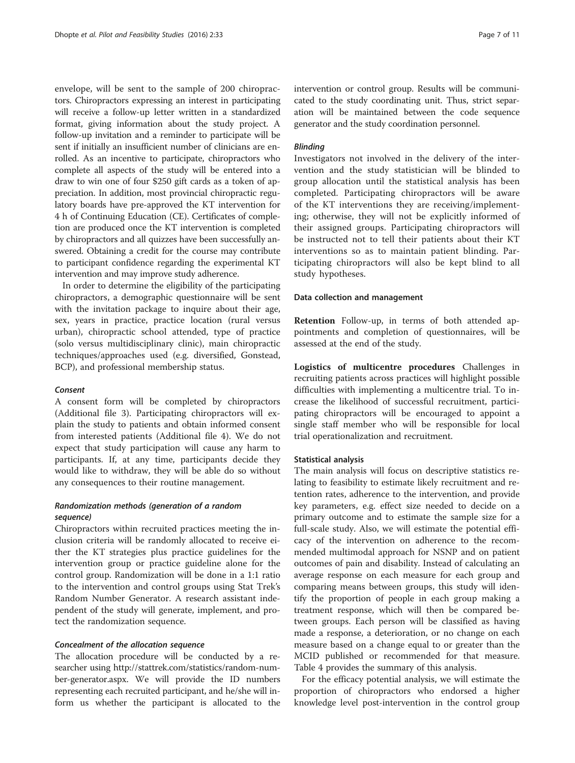envelope, will be sent to the sample of 200 chiropractors. Chiropractors expressing an interest in participating will receive a follow-up letter written in a standardized format, giving information about the study project. A follow-up invitation and a reminder to participate will be sent if initially an insufficient number of clinicians are enrolled. As an incentive to participate, chiropractors who complete all aspects of the study will be entered into a draw to win one of four \$250 gift cards as a token of appreciation. In addition, most provincial chiropractic regulatory boards have pre-approved the KT intervention for 4 h of Continuing Education (CE). Certificates of completion are produced once the KT intervention is completed by chiropractors and all quizzes have been successfully answered. Obtaining a credit for the course may contribute to participant confidence regarding the experimental KT intervention and may improve study adherence.

In order to determine the eligibility of the participating chiropractors, a demographic questionnaire will be sent with the invitation package to inquire about their age, sex, years in practice, practice location (rural versus urban), chiropractic school attended, type of practice (solo versus multidisciplinary clinic), main chiropractic techniques/approaches used (e.g. diversified, Gonstead, BCP), and professional membership status.

#### Consent

A consent form will be completed by chiropractors (Additional file [3\)](#page-9-0). Participating chiropractors will explain the study to patients and obtain informed consent from interested patients (Additional file [4\)](#page-9-0). We do not expect that study participation will cause any harm to participants. If, at any time, participants decide they would like to withdraw, they will be able do so without any consequences to their routine management.

#### Randomization methods (generation of a random sequence)

Chiropractors within recruited practices meeting the inclusion criteria will be randomly allocated to receive either the KT strategies plus practice guidelines for the intervention group or practice guideline alone for the control group. Randomization will be done in a 1:1 ratio to the intervention and control groups using Stat Trek's Random Number Generator. A research assistant independent of the study will generate, implement, and protect the randomization sequence.

#### Concealment of the allocation sequence

The allocation procedure will be conducted by a researcher using [http://stattrek.com/statistics/random-num](http://stattrek.com/statistics/random-number-generator.aspx)[ber-generator.aspx](http://stattrek.com/statistics/random-number-generator.aspx). We will provide the ID numbers representing each recruited participant, and he/she will inform us whether the participant is allocated to the intervention or control group. Results will be communicated to the study coordinating unit. Thus, strict separation will be maintained between the code sequence generator and the study coordination personnel.

#### Blinding

Investigators not involved in the delivery of the intervention and the study statistician will be blinded to group allocation until the statistical analysis has been completed. Participating chiropractors will be aware of the KT interventions they are receiving/implementing; otherwise, they will not be explicitly informed of their assigned groups. Participating chiropractors will be instructed not to tell their patients about their KT interventions so as to maintain patient blinding. Participating chiropractors will also be kept blind to all study hypotheses.

#### Data collection and management

Retention Follow-up, in terms of both attended appointments and completion of questionnaires, will be assessed at the end of the study.

Logistics of multicentre procedures Challenges in recruiting patients across practices will highlight possible difficulties with implementing a multicentre trial. To increase the likelihood of successful recruitment, participating chiropractors will be encouraged to appoint a single staff member who will be responsible for local trial operationalization and recruitment.

#### Statistical analysis

The main analysis will focus on descriptive statistics relating to feasibility to estimate likely recruitment and retention rates, adherence to the intervention, and provide key parameters, e.g. effect size needed to decide on a primary outcome and to estimate the sample size for a full-scale study. Also, we will estimate the potential efficacy of the intervention on adherence to the recommended multimodal approach for NSNP and on patient outcomes of pain and disability. Instead of calculating an average response on each measure for each group and comparing means between groups, this study will identify the proportion of people in each group making a treatment response, which will then be compared between groups. Each person will be classified as having made a response, a deterioration, or no change on each measure based on a change equal to or greater than the MCID published or recommended for that measure. Table [4](#page-7-0) provides the summary of this analysis.

For the efficacy potential analysis, we will estimate the proportion of chiropractors who endorsed a higher knowledge level post-intervention in the control group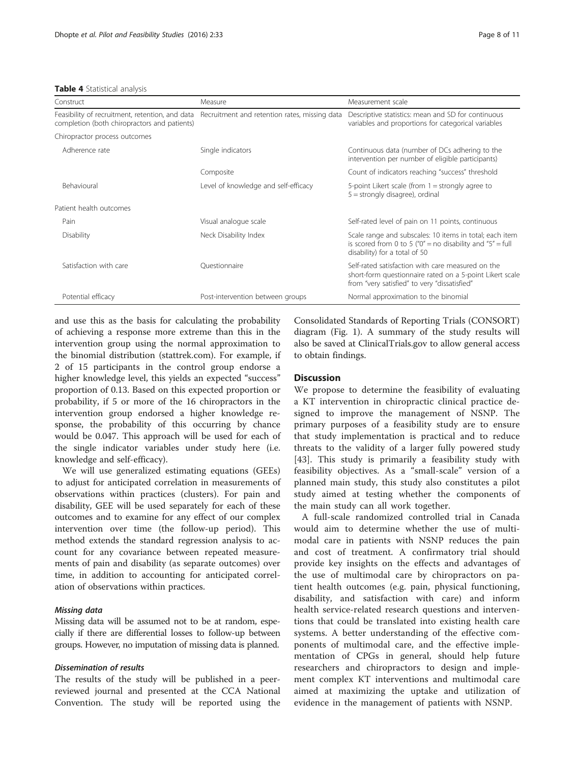#### <span id="page-7-0"></span>Table 4 Statistical analysis

| Construct                                    | Measure                                                                                                                         | Measurement scale                                                                                                                                             |  |
|----------------------------------------------|---------------------------------------------------------------------------------------------------------------------------------|---------------------------------------------------------------------------------------------------------------------------------------------------------------|--|
| completion (both chiropractors and patients) | Feasibility of recruitment, retention, and data Recruitment and retention rates, missing data                                   | Descriptive statistics: mean and SD for continuous<br>variables and proportions for categorical variables                                                     |  |
| Chiropractor process outcomes                |                                                                                                                                 |                                                                                                                                                               |  |
| Adherence rate                               | Single indicators                                                                                                               | Continuous data (number of DCs adhering to the<br>intervention per number of eligible participants)                                                           |  |
|                                              | Composite                                                                                                                       | Count of indicators reaching "success" threshold                                                                                                              |  |
| Behavioural                                  | Level of knowledge and self-efficacy<br>5-point Likert scale (from $1 =$ strongly agree to<br>$5 =$ strongly disagree), ordinal |                                                                                                                                                               |  |
| Patient health outcomes                      |                                                                                                                                 |                                                                                                                                                               |  |
| Pain                                         | Visual analogue scale                                                                                                           | Self-rated level of pain on 11 points, continuous                                                                                                             |  |
| Disability                                   | Neck Disability Index                                                                                                           | Scale range and subscales: 10 items in total; each item<br>is scored from 0 to 5 (" $0$ " = no disability and " $5$ " = full<br>disability) for a total of 50 |  |
| Satisfaction with care                       | Ouestionnaire                                                                                                                   | Self-rated satisfaction with care measured on the<br>short-form questionnaire rated on a 5-point Likert scale<br>from "very satisfied" to very "dissatisfied" |  |
| Potential efficacy                           | Post-intervention between groups                                                                                                | Normal approximation to the binomial                                                                                                                          |  |

and use this as the basis for calculating the probability of achieving a response more extreme than this in the intervention group using the normal approximation to the binomial distribution (stattrek.com). For example, if 2 of 15 participants in the control group endorse a higher knowledge level, this yields an expected "success" proportion of 0.13. Based on this expected proportion or probability, if 5 or more of the 16 chiropractors in the intervention group endorsed a higher knowledge response, the probability of this occurring by chance would be 0.047. This approach will be used for each of the single indicator variables under study here (i.e. knowledge and self-efficacy).

We will use generalized estimating equations (GEEs) to adjust for anticipated correlation in measurements of observations within practices (clusters). For pain and disability, GEE will be used separately for each of these outcomes and to examine for any effect of our complex intervention over time (the follow-up period). This method extends the standard regression analysis to account for any covariance between repeated measurements of pain and disability (as separate outcomes) over time, in addition to accounting for anticipated correlation of observations within practices.

#### Missing data

Missing data will be assumed not to be at random, especially if there are differential losses to follow-up between groups. However, no imputation of missing data is planned.

#### Dissemination of results

The results of the study will be published in a peerreviewed journal and presented at the CCA National Convention. The study will be reported using the

Consolidated Standards of Reporting Trials (CONSORT) diagram (Fig. [1](#page-8-0)). A summary of the study results will also be saved at ClinicalTrials.gov to allow general access to obtain findings.

#### **Discussion**

We propose to determine the feasibility of evaluating a KT intervention in chiropractic clinical practice designed to improve the management of NSNP. The primary purposes of a feasibility study are to ensure that study implementation is practical and to reduce threats to the validity of a larger fully powered study [[43\]](#page-10-0). This study is primarily a feasibility study with feasibility objectives. As a "small-scale" version of a planned main study, this study also constitutes a pilot study aimed at testing whether the components of the main study can all work together.

A full-scale randomized controlled trial in Canada would aim to determine whether the use of multimodal care in patients with NSNP reduces the pain and cost of treatment. A confirmatory trial should provide key insights on the effects and advantages of the use of multimodal care by chiropractors on patient health outcomes (e.g. pain, physical functioning, disability, and satisfaction with care) and inform health service-related research questions and interventions that could be translated into existing health care systems. A better understanding of the effective components of multimodal care, and the effective implementation of CPGs in general, should help future researchers and chiropractors to design and implement complex KT interventions and multimodal care aimed at maximizing the uptake and utilization of evidence in the management of patients with NSNP.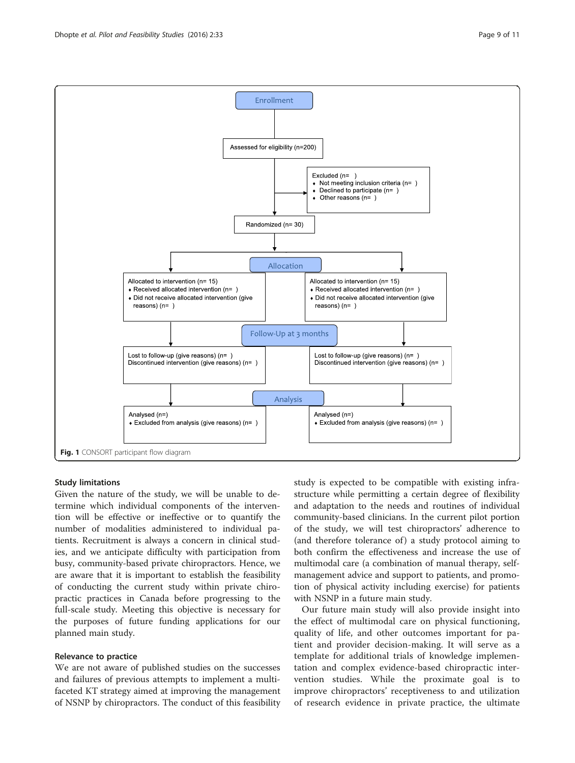Study limitations Given the nature of the study, we will be unable to determine which individual components of the intervention will be effective or ineffective or to quantify the number of modalities administered to individual patients. Recruitment is always a concern in clinical studies, and we anticipate difficulty with participation from busy, community-based private chiropractors. Hence, we are aware that it is important to establish the feasibility of conducting the current study within private chiropractic practices in Canada before progressing to the full-scale study. Meeting this objective is necessary for the purposes of future funding applications for our planned main study.

#### Relevance to practice

We are not aware of published studies on the successes and failures of previous attempts to implement a multifaceted KT strategy aimed at improving the management of NSNP by chiropractors. The conduct of this feasibility study is expected to be compatible with existing infrastructure while permitting a certain degree of flexibility and adaptation to the needs and routines of individual community-based clinicians. In the current pilot portion of the study, we will test chiropractors' adherence to (and therefore tolerance of) a study protocol aiming to both confirm the effectiveness and increase the use of multimodal care (a combination of manual therapy, selfmanagement advice and support to patients, and promotion of physical activity including exercise) for patients with NSNP in a future main study.

Our future main study will also provide insight into the effect of multimodal care on physical functioning, quality of life, and other outcomes important for patient and provider decision-making. It will serve as a template for additional trials of knowledge implementation and complex evidence-based chiropractic intervention studies. While the proximate goal is to improve chiropractors' receptiveness to and utilization of research evidence in private practice, the ultimate

<span id="page-8-0"></span>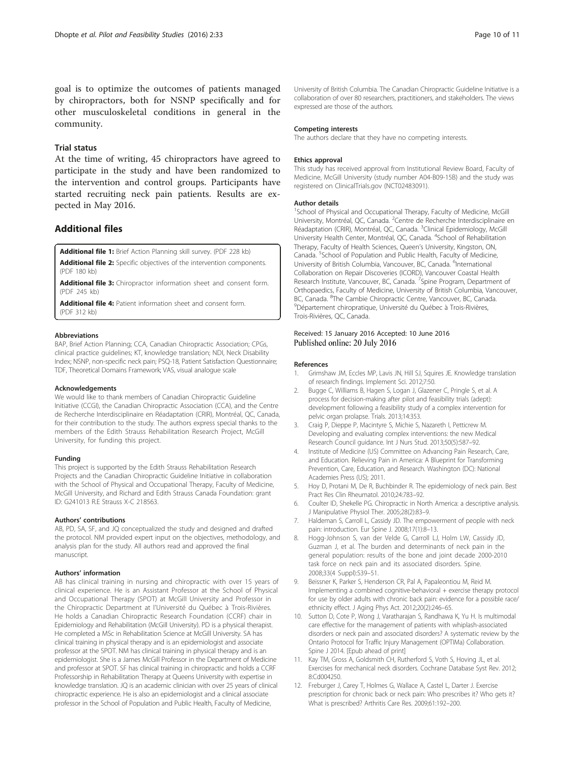<span id="page-9-0"></span>goal is to optimize the outcomes of patients managed by chiropractors, both for NSNP specifically and for other musculoskeletal conditions in general in the community.

#### Trial status

At the time of writing, 45 chiropractors have agreed to participate in the study and have been randomized to the intervention and control groups. Participants have started recruiting neck pain patients. Results are expected in May 2016.

#### Additional files

[Additional file 1:](dx.doi.org/10.1186/s40814-016-0076-9) Brief Action Planning skill survey. (PDF 228 kb)

[Additional file 2:](dx.doi.org/10.1186/s40814-016-0076-9) Specific objectives of the intervention components. (PDF 180 kb)

[Additional file 3:](dx.doi.org/10.1186/s40814-016-0076-9) Chiropractor information sheet and consent form. (PDF 245 kb)

[Additional file 4:](dx.doi.org/10.1186/s40814-016-0076-9) Patient information sheet and consent form. (PDF 312 kb)

#### Abbreviations

BAP, Brief Action Planning; CCA, Canadian Chiropractic Association; CPGs, clinical practice guidelines; KT, knowledge translation; NDI, Neck Disability Index; NSNP, non-specific neck pain; PSQ-18, Patient Satisfaction Questionnaire; TDF, Theoretical Domains Framework; VAS, visual analogue scale

#### Acknowledgements

We would like to thank members of Canadian Chiropractic Guideline Initiative (CCGI), the Canadian Chiropractic Association (CCA), and the Centre de Recherche Interdisciplinaire en Réadaptation (CRIR), Montréal, QC, Canada, for their contribution to the study. The authors express special thanks to the members of the Edith Strauss Rehabilitation Research Project, McGill University, for funding this project.

#### Funding

This project is supported by the Edith Strauss Rehabilitation Research Projects and the Canadian Chiropractic Guideline Initiative in collaboration with the School of Physical and Occupational Therapy, Faculty of Medicine, McGill University, and Richard and Edith Strauss Canada Foundation: grant ID: G241013 R.E Strauss X-C 218563.

#### Authors' contributions

AB, PD, SA, SF, and JQ conceptualized the study and designed and drafted the protocol. NM provided expert input on the objectives, methodology, and analysis plan for the study. All authors read and approved the final manuscript.

#### Authors' information

AB has clinical training in nursing and chiropractic with over 15 years of clinical experience. He is an Assistant Professor at the School of Physical and Occupational Therapy (SPOT) at McGill University and Professor in the Chiropractic Department at l'Université du Québec à Trois-Rivières. He holds a Canadian Chiropractic Research Foundation (CCRF) chair in Epidemiology and Rehabilitation (McGill University). PD is a physical therapist. He completed a MSc in Rehabilitation Science at McGill University. SA has clinical training in physical therapy and is an epidemiologist and associate professor at the SPOT. NM has clinical training in physical therapy and is an epidemiologist. She is a James McGill Professor in the Department of Medicine and professor at SPOT. SF has clinical training in chiropractic and holds a CCRF Professorship in Rehabilitation Therapy at Queens University with expertise in knowledge translation. JQ is an academic clinician with over 25 years of clinical chiropractic experience. He is also an epidemiologist and a clinical associate professor in the School of Population and Public Health, Faculty of Medicine,

University of British Columbia. The Canadian Chiropractic Guideline Initiative is a collaboration of over 80 researchers, practitioners, and stakeholders. The views expressed are those of the authors.

#### Competing interests

The authors declare that they have no competing interests.

#### Ethics approval

This study has received approval from Institutional Review Board, Faculty of Medicine, McGill University (study number A04-B09-15B) and the study was registered on ClinicalTrials.gov (NCT02483091).

#### Author details

<sup>1</sup>School of Physical and Occupational Therapy, Faculty of Medicine, McGill University, Montréal, QC, Canada. <sup>2</sup>Centre de Recherche Interdisciplinaire en Réadaptation (CRIR), Montréal, QC, Canada. <sup>3</sup>Clinical Epidemiology, McGill University Health Center, Montréal, QC, Canada. <sup>4</sup>School of Rehabilitation Therapy, Faculty of Health Sciences, Queen's University, Kingston, ON, Canada. <sup>5</sup>School of Population and Public Health, Faculty of Medicine, University of British Columbia, Vancouver, BC, Canada. <sup>6</sup>International Collaboration on Repair Discoveries (ICORD), Vancouver Coastal Health Research Institute, Vancouver, BC, Canada. <sup>7</sup>Spine Program, Department of Orthopaedics, Faculty of Medicine, University of British Columbia, Vancouver, BC, Canada. <sup>8</sup>The Cambie Chiropractic Centre, Vancouver, BC, Canada.<br><sup>9</sup>Département chiropratique. Université du Québec à Treis Pivières. Département chiropratique, Université du Québec à Trois-Rivières, Trois-Rivières, QC, Canada.

#### Received: 15 January 2016 Accepted: 10 June 2016 Published online: 20 July 2016

#### References

- 1. Grimshaw JM, Eccles MP, Lavis JN, Hill SJ, Squires JE. Knowledge translation of research findings. Implement Sci. 2012;7:50.
- 2. Bugge C, Williams B, Hagen S, Logan J, Glazener C, Pringle S, et al. A process for decision-making after pilot and feasibility trials (adept): development following a feasibility study of a complex intervention for pelvic organ prolapse. Trials. 2013;14:353.
- 3. Craig P, Dieppe P, Macintyre S, Michie S, Nazareth I, Petticrew M. Developing and evaluating complex interventions: the new Medical Research Council guidance. Int J Nurs Stud. 2013;50(5):587–92.
- 4. Institute of Medicine (US) Committee on Advancing Pain Research, Care, and Education. Relieving Pain in America: A Blueprint for Transforming Prevention, Care, Education, and Research. Washington (DC): National Academies Press (US); 2011.
- 5. Hoy D, Protani M, De R, Buchbinder R. The epidemiology of neck pain. Best Pract Res Clin Rheumatol. 2010;24:783–92.
- 6. Coulter ID, Shekelle PG. Chiropractic in North America: a descriptive analysis. J Manipulative Physiol Ther. 2005;28(2):83–9.
- 7. Haldeman S, Carroll L, Cassidy JD. The empowerment of people with neck pain: introduction. Eur Spine J. 2008;17(1):8–13.
- 8. Hogg-Johnson S, van der Velde G, Carroll LJ, Holm LW, Cassidy JD, Guzman J, et al. The burden and determinants of neck pain in the general population: results of the bone and joint decade 2000-2010 task force on neck pain and its associated disorders. Spine. 2008;33(4 Suppl):S39–51.
- 9. Beissner K, Parker S, Henderson CR, Pal A, Papaleontiou M, Reid M. Implementing a combined cognitive-behavioral + exercise therapy protocol for use by older adults with chronic back pain: evidence for a possible race/ ethnicity effect. J Aging Phys Act. 2012;20(2):246–65.
- 10. Sutton D, Cote P, Wong J, Varatharajan S, Randhawa K, Yu H. Is multimodal care effective for the management of patients with whiplash-associated disorders or neck pain and associated disorders? A systematic review by the Ontario Protocol for Traffic Injury Management (OPTIMa) Collaboration. Spine J 2014. [Epub ahead of print]
- 11. Kay TM, Gross A, Goldsmith CH, Rutherford S, Voth S, Hoving JL, et al. Exercises for mechanical neck disorders. Cochrane Database Syst Rev. 2012; 8:Cd004250.
- 12. Freburger J, Carey T, Holmes G, Wallace A, Castel L, Darter J. Exercise prescription for chronic back or neck pain: Who prescribes it? Who gets it? What is prescribed? Arthritis Care Res. 2009;61:192–200.